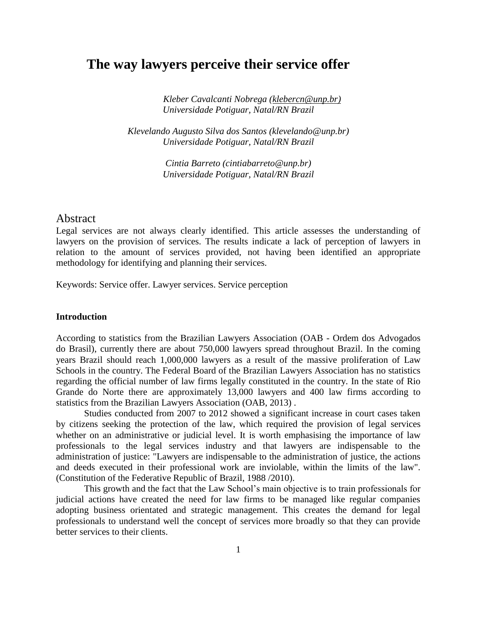# **The way lawyers perceive their service offer**

*Kleber Cavalcanti Nobrega [\(klebercn@unp.br\)](mailto:klebercn@unp.br) Universidade Potiguar, Natal/RN Brazil*

*Klevelando Augusto Silva dos Santos (klevelando@unp.br) Universidade Potiguar, Natal/RN Brazil*

> *Cintia Barreto (cintiabarreto@unp.br) Universidade Potiguar, Natal/RN Brazil*

# Abstract

Legal services are not always clearly identified. This article assesses the understanding of lawyers on the provision of services. The results indicate a lack of perception of lawyers in relation to the amount of services provided, not having been identified an appropriate methodology for identifying and planning their services.

Keywords: Service offer. Lawyer services. Service perception

# **Introduction**

According to statistics from the Brazilian Lawyers Association (OAB - Ordem dos Advogados do Brasil), currently there are about 750,000 lawyers spread throughout Brazil. In the coming years Brazil should reach 1,000,000 lawyers as a result of the massive proliferation of Law Schools in the country. The Federal Board of the Brazilian Lawyers Association has no statistics regarding the official number of law firms legally constituted in the country. In the state of Rio Grande do Norte there are approximately 13,000 lawyers and 400 law firms according to statistics from the Brazilian Lawyers Association (OAB, 2013) .

Studies conducted from 2007 to 2012 showed a significant increase in court cases taken by citizens seeking the protection of the law, which required the provision of legal services whether on an administrative or judicial level. It is worth emphasising the importance of law professionals to the legal services industry and that lawyers are indispensable to the administration of justice: "Lawyers are indispensable to the administration of justice, the actions and deeds executed in their professional work are inviolable, within the limits of the law". (Constitution of the Federative Republic of Brazil, 1988 /2010).

This growth and the fact that the Law School's main objective is to train professionals for judicial actions have created the need for law firms to be managed like regular companies adopting business orientated and strategic management. This creates the demand for legal professionals to understand well the concept of services more broadly so that they can provide better services to their clients.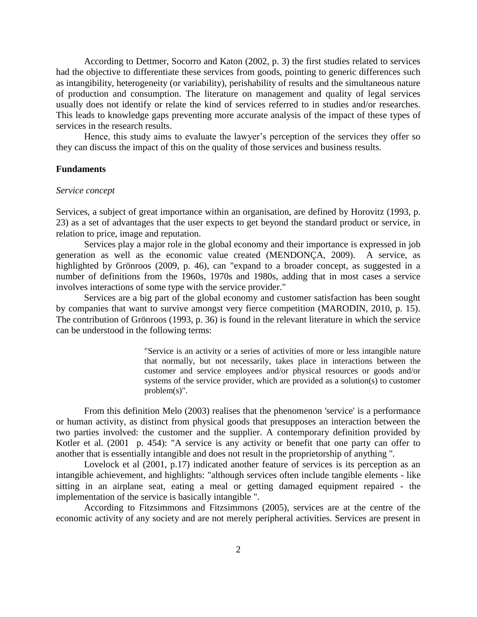According to Dettmer, Socorro and Katon (2002, p. 3) the first studies related to services had the objective to differentiate these services from goods, pointing to generic differences such as intangibility, heterogeneity (or variability), perishability of results and the simultaneous nature of production and consumption. The literature on management and quality of legal services usually does not identify or relate the kind of services referred to in studies and/or researches. This leads to knowledge gaps preventing more accurate analysis of the impact of these types of services in the research results.

Hence, this study aims to evaluate the lawyer's perception of the services they offer so they can discuss the impact of this on the quality of those services and business results.

## **Fundaments**

#### *Service concept*

Services, a subject of great importance within an organisation, are defined by Horovitz (1993, p. 23) as a set of advantages that the user expects to get beyond the standard product or service, in relation to price, image and reputation.

Services play a major role in the global economy and their importance is expressed in job generation as well as the economic value created (MENDONÇA, 2009). A service, as highlighted by Grönroos (2009, p. 46), can "expand to a broader concept, as suggested in a number of definitions from the 1960s, 1970s and 1980s, adding that in most cases a service involves interactions of some type with the service provider."

Services are a big part of the global economy and customer satisfaction has been sought by companies that want to survive amongst very fierce competition (MARODIN, 2010, p. 15). The contribution of Grönroos (1993, p. 36) is found in the relevant literature in which the service can be understood in the following terms:

> "Service is an activity or a series of activities of more or less intangible nature that normally, but not necessarily, takes place in interactions between the customer and service employees and/or physical resources or goods and/or systems of the service provider, which are provided as a solution(s) to customer problem(s)".

From this definition Melo (2003) realises that the phenomenon 'service' is a performance or human activity, as distinct from physical goods that presupposes an interaction between the two parties involved: the customer and the supplier. A contemporary definition provided by Kotler et al. (2001 p. 454): "A service is any activity or benefit that one party can offer to another that is essentially intangible and does not result in the proprietorship of anything ''.

Lovelock et al (2001, p.17) indicated another feature of services is its perception as an intangible achievement, and highlights: "although services often include tangible elements - like sitting in an airplane seat, eating a meal or getting damaged equipment repaired - the implementation of the service is basically intangible ".

According to Fitzsimmons and Fitzsimmons (2005), services are at the centre of the economic activity of any society and are not merely peripheral activities. Services are present in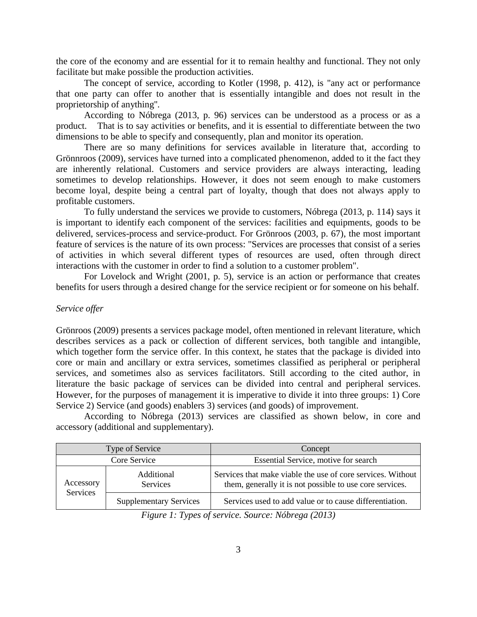the core of the economy and are essential for it to remain healthy and functional. They not only facilitate but make possible the production activities.

The concept of service, according to Kotler (1998, p. 412), is "any act or performance that one party can offer to another that is essentially intangible and does not result in the proprietorship of anything''.

According to Nóbrega (2013, p. 96) services can be understood as a process or as a product. That is to say activities or benefits, and it is essential to differentiate between the two dimensions to be able to specify and consequently, plan and monitor its operation.

There are so many definitions for services available in literature that, according to Grönnroos (2009), services have turned into a complicated phenomenon, added to it the fact they are inherently relational. Customers and service providers are always interacting, leading sometimes to develop relationships. However, it does not seem enough to make customers become loyal, despite being a central part of loyalty, though that does not always apply to profitable customers.

To fully understand the services we provide to customers, Nóbrega (2013, p. 114) says it is important to identify each component of the services: facilities and equipments, goods to be delivered, services-process and service-product. For Grönroos (2003, p. 67), the most important feature of services is the nature of its own process: "Services are processes that consist of a series of activities in which several different types of resources are used, often through direct interactions with the customer in order to find a solution to a customer problem".

For Lovelock and Wright (2001, p. 5), service is an action or performance that creates benefits for users through a desired change for the service recipient or for someone on his behalf.

#### *Service offer*

Grönroos (2009) presents a services package model, often mentioned in relevant literature, which describes services as a pack or collection of different services, both tangible and intangible, which together form the service offer. In this context, he states that the package is divided into core or main and ancillary or extra services, sometimes classified as peripheral or peripheral services, and sometimes also as services facilitators. Still according to the cited author, in literature the basic package of services can be divided into central and peripheral services. However, for the purposes of management it is imperative to divide it into three groups: 1) Core Service 2) Service (and goods) enablers 3) services (and goods) of improvement.

According to Nóbrega (2013) services are classified as shown below, in core and accessory (additional and supplementary).

| Type of Service       |                               | Concept                                                                                                                 |
|-----------------------|-------------------------------|-------------------------------------------------------------------------------------------------------------------------|
| Core Service          |                               | Essential Service, motive for search                                                                                    |
| Accessory<br>Services | Additional<br><b>Services</b> | Services that make viable the use of core services. Without<br>them, generally it is not possible to use core services. |
|                       | <b>Supplementary Services</b> | Services used to add value or to cause differentiation.                                                                 |

*Figure 1: Types of service. Source: Nóbrega (2013)*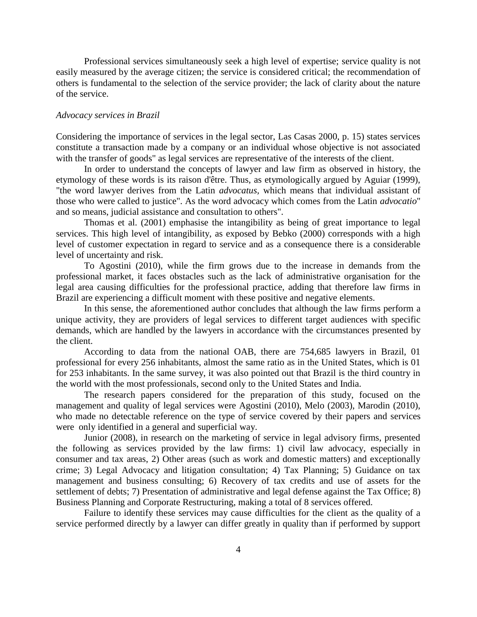Professional services simultaneously seek a high level of expertise; service quality is not easily measured by the average citizen; the service is considered critical; the recommendation of others is fundamental to the selection of the service provider; the lack of clarity about the nature of the service.

#### *Advocacy services in Brazil*

Considering the importance of services in the legal sector, Las Casas 2000, p. 15) states services constitute a transaction made by a company or an individual whose objective is not associated with the transfer of goods" as legal services are representative of the interests of the client.

In order to understand the concepts of lawyer and law firm as observed in history, the etymology of these words is its raison d'être. Thus, as etymologically argued by Aguiar (1999), "the word lawyer derives from the Latin *advocatus,* which means that individual assistant of those who were called to justice". As the word advocacy which comes from the Latin *advocatio*" and so means, judicial assistance and consultation to others".

Thomas et al. (2001) emphasise the intangibility as being of great importance to legal services. This high level of intangibility, as exposed by Bebko (2000) corresponds with a high level of customer expectation in regard to service and as a consequence there is a considerable level of uncertainty and risk.

To Agostini (2010), while the firm grows due to the increase in demands from the professional market, it faces obstacles such as the lack of administrative organisation for the legal area causing difficulties for the professional practice, adding that therefore law firms in Brazil are experiencing a difficult moment with these positive and negative elements.

In this sense, the aforementioned author concludes that although the law firms perform a unique activity, they are providers of legal services to different target audiences with specific demands, which are handled by the lawyers in accordance with the circumstances presented by the client.

According to data from the national OAB, there are 754,685 lawyers in Brazil, 01 professional for every 256 inhabitants, almost the same ratio as in the United States, which is 01 for 253 inhabitants. In the same survey, it was also pointed out that Brazil is the third country in the world with the most professionals, second only to the United States and India.

The research papers considered for the preparation of this study, focused on the management and quality of legal services were Agostini (2010), Melo (2003), Marodin (2010), who made no detectable reference on the type of service covered by their papers and services were only identified in a general and superficial way.

Junior (2008), in research on the marketing of service in legal advisory firms, presented the following as services provided by the law firms: 1) civil law advocacy, especially in consumer and tax areas, 2) Other areas (such as work and domestic matters) and exceptionally crime; 3) Legal Advocacy and litigation consultation; 4) Tax Planning; 5) Guidance on tax management and business consulting; 6) Recovery of tax credits and use of assets for the settlement of debts; 7) Presentation of administrative and legal defense against the Tax Office; 8) Business Planning and Corporate Restructuring, making a total of 8 services offered.

Failure to identify these services may cause difficulties for the client as the quality of a service performed directly by a lawyer can differ greatly in quality than if performed by support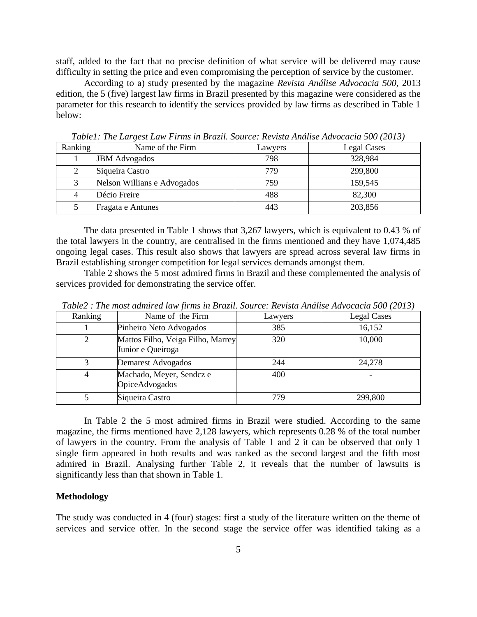staff, added to the fact that no precise definition of what service will be delivered may cause difficulty in setting the price and even compromising the perception of service by the customer.

According to a) study presented by the magazine *Revista Análise Advocacia 500*, 2013 edition, the 5 (five) largest law firms in Brazil presented by this magazine were considered as the parameter for this research to identify the services provided by law firms as described in Table 1 below:

| Ranking | Name of the Firm            | Lawyers | <b>Legal Cases</b> |
|---------|-----------------------------|---------|--------------------|
|         | <b>JBM</b> Advogados        | 798     | 328,984            |
|         | Siqueira Castro             | 779     | 299,800            |
|         | Nelson Willians e Advogados | 759     | 159,545            |
|         | Décio Freire                | 488     | 82,300             |
|         | Fragata e Antunes           | 443     | 203,856            |

*Table1: The Largest Law Firms in Brazil. Source: Revista Análise Advocacia 500 (2013)*

The data presented in Table 1 shows that 3,267 lawyers, which is equivalent to 0.43 % of the total lawyers in the country, are centralised in the firms mentioned and they have 1,074,485 ongoing legal cases. This result also shows that lawyers are spread across several law firms in Brazil establishing stronger competition for legal services demands amongst them.

Table 2 shows the 5 most admired firms in Brazil and these complemented the analysis of services provided for demonstrating the service offer.

| Ranking | Name of the Firm                                       | Lawyers | <b>Legal Cases</b> |
|---------|--------------------------------------------------------|---------|--------------------|
|         | Pinheiro Neto Advogados                                | 385     | 16,152             |
|         | Mattos Filho, Veiga Filho, Marrey<br>Junior e Queiroga | 320     | 10,000             |
|         | Demarest Advogados                                     | 244     | 24,278             |
| 4       | Machado, Meyer, Sendcz e<br>OpiceAdvogados             | 400     |                    |
|         | Siqueira Castro                                        | 779     | 299,800            |

*Table2 : The most admired law firms in Brazil. Source: Revista Análise Advocacia 500 (2013)*

In Table 2 the 5 most admired firms in Brazil were studied. According to the same magazine, the firms mentioned have 2,128 lawyers, which represents 0.28 % of the total number of lawyers in the country. From the analysis of Table 1 and 2 it can be observed that only 1 single firm appeared in both results and was ranked as the second largest and the fifth most admired in Brazil. Analysing further Table 2, it reveals that the number of lawsuits is significantly less than that shown in Table 1.

# **Methodology**

The study was conducted in 4 (four) stages: first a study of the literature written on the theme of services and service offer. In the second stage the service offer was identified taking as a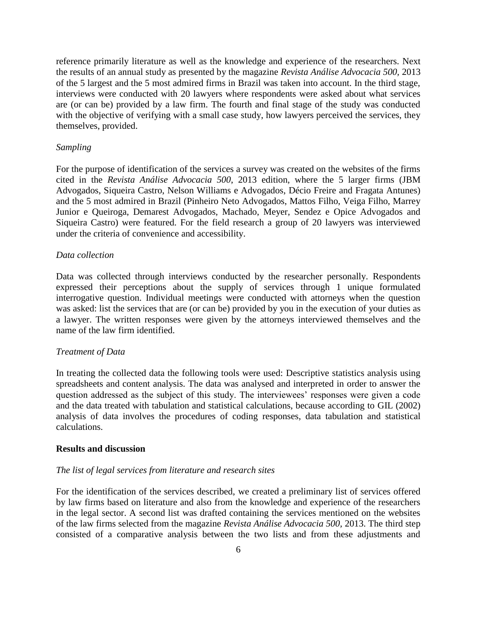reference primarily literature as well as the knowledge and experience of the researchers. Next the results of an annual study as presented by the magazine *Revista Análise Advocacia 500,* 2013 of the 5 largest and the 5 most admired firms in Brazil was taken into account. In the third stage, interviews were conducted with 20 lawyers where respondents were asked about what services are (or can be) provided by a law firm. The fourth and final stage of the study was conducted with the objective of verifying with a small case study, how lawyers perceived the services, they themselves, provided.

#### *Sampling*

For the purpose of identification of the services a survey was created on the websites of the firms cited in the *Revista Análise Advocacia 500*, 2013 edition, where the 5 larger firms (JBM Advogados, Siqueira Castro, Nelson Williams e Advogados, Décio Freire and Fragata Antunes) and the 5 most admired in Brazil (Pinheiro Neto Advogados, Mattos Filho, Veiga Filho, Marrey Junior e Queiroga, Demarest Advogados, Machado, Meyer, Sendez e Opice Advogados and Siqueira Castro) were featured. For the field research a group of 20 lawyers was interviewed under the criteria of convenience and accessibility.

# *Data collection*

Data was collected through interviews conducted by the researcher personally. Respondents expressed their perceptions about the supply of services through 1 unique formulated interrogative question. Individual meetings were conducted with attorneys when the question was asked: list the services that are (or can be) provided by you in the execution of your duties as a lawyer. The written responses were given by the attorneys interviewed themselves and the name of the law firm identified.

#### *Treatment of Data*

In treating the collected data the following tools were used: Descriptive statistics analysis using spreadsheets and content analysis. The data was analysed and interpreted in order to answer the question addressed as the subject of this study. The interviewees' responses were given a code and the data treated with tabulation and statistical calculations, because according to GIL (2002) analysis of data involves the procedures of coding responses, data tabulation and statistical calculations.

## **Results and discussion**

## *The list of legal services from literature and research sites*

For the identification of the services described, we created a preliminary list of services offered by law firms based on literature and also from the knowledge and experience of the researchers in the legal sector. A second list was drafted containing the services mentioned on the websites of the law firms selected from the magazine *Revista Análise Advocacia 500,* 2013. The third step consisted of a comparative analysis between the two lists and from these adjustments and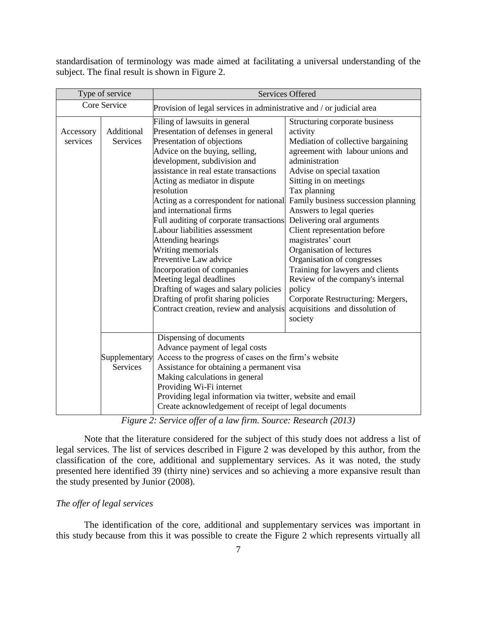standardisation of terminology was made aimed at facilitating a universal understanding of the subject. The final result is shown in Figure 2.

| Type of service       |                                                                                                                                                                                                                                                                                                                                                                                         | <b>Services Offered</b>                                                                                                                                                                                                                                                                                                                                                                                                                                                                                                                                                                                                                                               |                                                                                                                                                                                                                                                                                                                                                                                                                                                                                                                                                                                                     |  |
|-----------------------|-----------------------------------------------------------------------------------------------------------------------------------------------------------------------------------------------------------------------------------------------------------------------------------------------------------------------------------------------------------------------------------------|-----------------------------------------------------------------------------------------------------------------------------------------------------------------------------------------------------------------------------------------------------------------------------------------------------------------------------------------------------------------------------------------------------------------------------------------------------------------------------------------------------------------------------------------------------------------------------------------------------------------------------------------------------------------------|-----------------------------------------------------------------------------------------------------------------------------------------------------------------------------------------------------------------------------------------------------------------------------------------------------------------------------------------------------------------------------------------------------------------------------------------------------------------------------------------------------------------------------------------------------------------------------------------------------|--|
| Core Service          |                                                                                                                                                                                                                                                                                                                                                                                         | Provision of legal services in administrative and / or judicial area                                                                                                                                                                                                                                                                                                                                                                                                                                                                                                                                                                                                  |                                                                                                                                                                                                                                                                                                                                                                                                                                                                                                                                                                                                     |  |
| Accessory<br>services | Additional<br>Services                                                                                                                                                                                                                                                                                                                                                                  | Filing of lawsuits in general<br>Presentation of defenses in general<br>Presentation of objections<br>Advice on the buying, selling,<br>development, subdivision and<br>assistance in real estate transactions<br>Acting as mediator in dispute<br>resolution<br>Acting as a correspondent for national<br>and international firms<br>Full auditing of corporate transactions<br>Labour liabilities assessment<br>Attending hearings<br>Writing memorials<br>Preventive Law advice<br>Incorporation of companies<br>Meeting legal deadlines<br>Drafting of wages and salary policies<br>Drafting of profit sharing policies<br>Contract creation, review and analysis | Structuring corporate business<br>activity<br>Mediation of collective bargaining<br>agreement with labour unions and<br>administration<br>Advise on special taxation<br>Sitting in on meetings<br>Tax planning<br>Family business succession planning<br>Answers to legal queries<br>Delivering oral arguments<br>Client representation before<br>magistrates' court<br>Organisation of lectures<br>Organisation of congresses<br>Training for lawyers and clients<br>Review of the company's internal<br>policy<br>Corporate Restructuring: Mergers,<br>acquisitions and dissolution of<br>society |  |
|                       | Dispensing of documents<br>Advance payment of legal costs<br>Access to the progress of cases on the firm's website<br>Supplementary<br>Assistance for obtaining a permanent visa<br><b>Services</b><br>Making calculations in general<br>Providing Wi-Fi internet<br>Providing legal information via twitter, website and email<br>Create acknowledgement of receipt of legal documents |                                                                                                                                                                                                                                                                                                                                                                                                                                                                                                                                                                                                                                                                       |                                                                                                                                                                                                                                                                                                                                                                                                                                                                                                                                                                                                     |  |

*Figure 2: Service offer of a law firm. Source: Research (2013)*

Note that the literature considered for the subject of this study does not address a list of legal services. The list of services described in Figure 2 was developed by this author, from the classification of the core, additional and supplementary services. As it was noted, the study presented here identified 39 (thirty nine) services and so achieving a more expansive result than the study presented by Junior (2008).

# *The offer of legal services*

The identification of the core, additional and supplementary services was important in this study because from this it was possible to create the Figure 2 which represents virtually all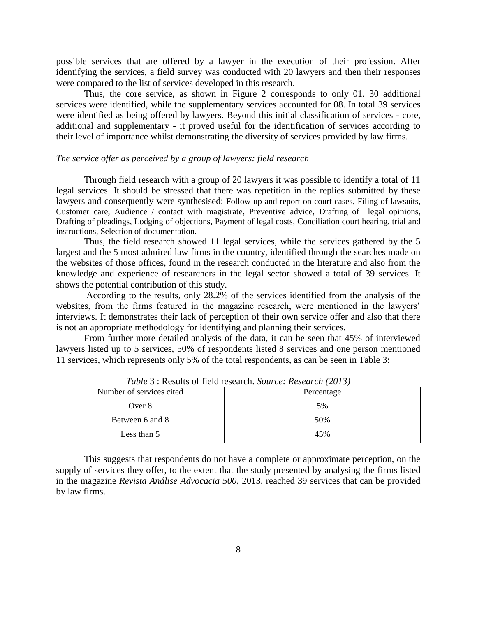possible services that are offered by a lawyer in the execution of their profession. After identifying the services, a field survey was conducted with 20 lawyers and then their responses were compared to the list of services developed in this research.

Thus, the core service, as shown in Figure 2 corresponds to only 01. 30 additional services were identified, while the supplementary services accounted for 08. In total 39 services were identified as being offered by lawyers. Beyond this initial classification of services - core, additional and supplementary - it proved useful for the identification of services according to their level of importance whilst demonstrating the diversity of services provided by law firms.

## *The service offer as perceived by a group of lawyers: field research*

Through field research with a group of 20 lawyers it was possible to identify a total of 11 legal services. It should be stressed that there was repetition in the replies submitted by these lawyers and consequently were synthesised: Follow-up and report on court cases, Filing of lawsuits, Customer care, Audience / contact with magistrate, Preventive advice, Drafting of legal opinions, Drafting of pleadings, Lodging of objections, Payment of legal costs, Conciliation court hearing, trial and instructions, Selection of documentation.

Thus, the field research showed 11 legal services, while the services gathered by the 5 largest and the 5 most admired law firms in the country, identified through the searches made on the websites of those offices, found in the research conducted in the literature and also from the knowledge and experience of researchers in the legal sector showed a total of 39 services. It shows the potential contribution of this study.

According to the results, only 28.2% of the services identified from the analysis of the websites, from the firms featured in the magazine research, were mentioned in the lawyers' interviews. It demonstrates their lack of perception of their own service offer and also that there is not an appropriate methodology for identifying and planning their services.

From further more detailed analysis of the data, it can be seen that 45% of interviewed lawyers listed up to 5 services, 50% of respondents listed 8 services and one person mentioned 11 services, which represents only 5% of the total respondents, as can be seen in Table 3:

| Twore 5, Regard of Hera Regulari, Bom ce, Regum on (2019) |            |  |
|-----------------------------------------------------------|------------|--|
| Number of services cited.                                 | Percentage |  |
| Over 8                                                    | 5%         |  |
| Between 6 and 8                                           | 50%        |  |
| Less than 5                                               | 45%        |  |

*Table* 3 : Results of field research. *Source: Research (2013)*

This suggests that respondents do not have a complete or approximate perception, on the supply of services they offer, to the extent that the study presented by analysing the firms listed in the magazine *Revista Análise Advocacia 500*, 2013, reached 39 services that can be provided by law firms.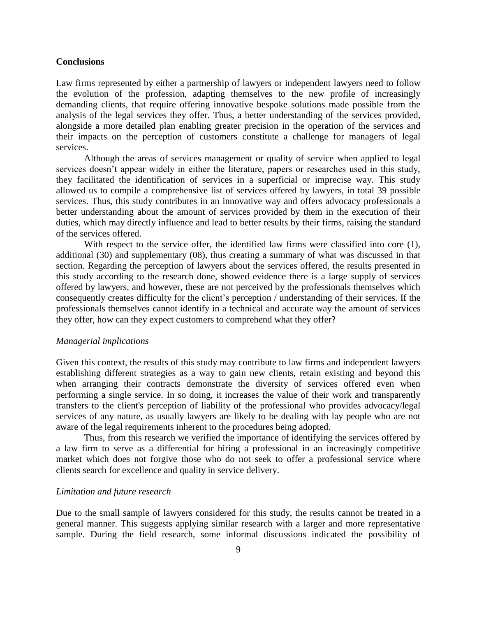# **Conclusions**

Law firms represented by either a partnership of lawyers or independent lawyers need to follow the evolution of the profession, adapting themselves to the new profile of increasingly demanding clients, that require offering innovative bespoke solutions made possible from the analysis of the legal services they offer. Thus, a better understanding of the services provided, alongside a more detailed plan enabling greater precision in the operation of the services and their impacts on the perception of customers constitute a challenge for managers of legal services.

Although the areas of services management or quality of service when applied to legal services doesn't appear widely in either the literature, papers or researches used in this study, they facilitated the identification of services in a superficial or imprecise way. This study allowed us to compile a comprehensive list of services offered by lawyers, in total 39 possible services. Thus, this study contributes in an innovative way and offers advocacy professionals a better understanding about the amount of services provided by them in the execution of their duties, which may directly influence and lead to better results by their firms, raising the standard of the services offered.

With respect to the service offer, the identified law firms were classified into core (1), additional (30) and supplementary (08), thus creating a summary of what was discussed in that section. Regarding the perception of lawyers about the services offered, the results presented in this study according to the research done, showed evidence there is a large supply of services offered by lawyers, and however, these are not perceived by the professionals themselves which consequently creates difficulty for the client's perception / understanding of their services. If the professionals themselves cannot identify in a technical and accurate way the amount of services they offer, how can they expect customers to comprehend what they offer?

#### *Managerial implications*

Given this context, the results of this study may contribute to law firms and independent lawyers establishing different strategies as a way to gain new clients, retain existing and beyond this when arranging their contracts demonstrate the diversity of services offered even when performing a single service. In so doing, it increases the value of their work and transparently transfers to the client's perception of liability of the professional who provides advocacy/legal services of any nature, as usually lawyers are likely to be dealing with lay people who are not aware of the legal requirements inherent to the procedures being adopted.

Thus, from this research we verified the importance of identifying the services offered by a law firm to serve as a differential for hiring a professional in an increasingly competitive market which does not forgive those who do not seek to offer a professional service where clients search for excellence and quality in service delivery.

# *Limitation and future research*

Due to the small sample of lawyers considered for this study, the results cannot be treated in a general manner. This suggests applying similar research with a larger and more representative sample. During the field research, some informal discussions indicated the possibility of